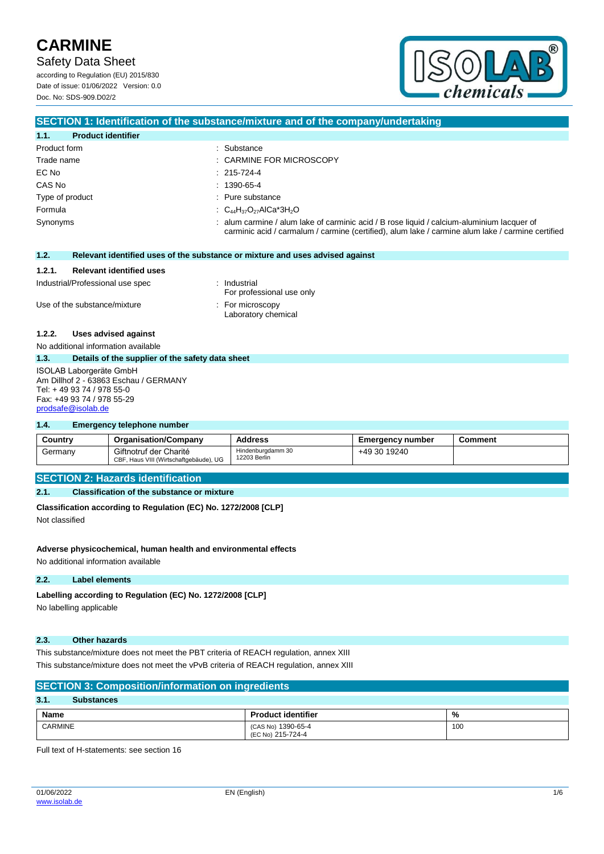Safety Data Sheet

according to Regulation (EU) 2015/830 Date of issue: 01/06/2022 Version: 0.0 Doc. No: SDS-909.D02/2



## **SECTION 1: Identification of the substance/mixture and of the company/undertaking**

| $1.1 -$<br><b>Product identifier</b> |                                                                                                                                                                                               |
|--------------------------------------|-----------------------------------------------------------------------------------------------------------------------------------------------------------------------------------------------|
| Product form                         | : Substance                                                                                                                                                                                   |
| Trade name                           | : CARMINE FOR MICROSCOPY                                                                                                                                                                      |
| EC No                                | $: 215-724-4$                                                                                                                                                                                 |
| CAS No                               | $: 1390-65-4$                                                                                                                                                                                 |
| Type of product                      | : Pure substance                                                                                                                                                                              |
| Formula                              | : $C_{44}H_{37}O_{27}AlCa*3H_2O$                                                                                                                                                              |
| Synonyms                             | alum carmine / alum lake of carminic acid / B rose liquid / calcium-aluminium lacquer of<br>carminic acid / carmalum / carmine (certified), alum lake / carmine alum lake / carmine certified |

| Relevant identified uses of the substance or mixture and uses advised against<br>1.2. |  |
|---------------------------------------------------------------------------------------|--|
|---------------------------------------------------------------------------------------|--|

### **1.2.1. Relevant identified uses**

| Industrial/Professional use spec | Industrial<br>For professional use only            |
|----------------------------------|----------------------------------------------------|
| Use of the substance/mixture     | $\therefore$ For microscopy<br>Laboratory chemical |

## **1.2.2. Uses advised against**

No additional information available

#### **1.3. Details of the supplier of the safety data sheet**

ISOLAB Laborgeräte GmbH Am Dillhof 2 - 63863 Eschau / GERMANY Tel: + 49 93 74 / 978 55-0 Fax: +49 93 74 / 978 55-29 [prodsafe@isolab.de](mailto:prodsafe@isolab.de)

### **1.4. Emergency telephone number**

| Country | <b>Organisation/Company</b>                                      | <b>Address</b>                    | Emeraencv number | Comment |
|---------|------------------------------------------------------------------|-----------------------------------|------------------|---------|
| Germany | Giftnotruf der Charité<br>CBF, Haus VIII (Wirtschaftgebäude), UG | Hindenburgdamm 30<br>12203 Berlin | +49 30 19240     |         |

## **SECTION 2: Hazards identification**

### **2.1. Classification of the substance or mixture**

**Classification according to Regulation (EC) No. 1272/2008 [CLP]**

Not classified

## **Adverse physicochemical, human health and environmental effects**

No additional information available

## **2.2. Label elements**

## Labelling according to Regulation (EC) No. 1272/2008 [CLP]

No labelling applicable

## **2.3. Other hazards**

This substance/mixture does not meet the PBT criteria of REACH regulation, annex XIII This substance/mixture does not meet the vPvB criteria of REACH regulation, annex XIII

| <b>SECTION 3: Composition/information on ingredients</b> |                                         |     |  |  |
|----------------------------------------------------------|-----------------------------------------|-----|--|--|
| 3.1.<br><b>Substances</b>                                |                                         |     |  |  |
| <b>Name</b>                                              | <b>Product identifier</b>               | %   |  |  |
| <b>CARMINE</b>                                           | (CAS No) 1390-65-4<br>(EC No) 215-724-4 | 100 |  |  |

Full text of H-statements: see section 16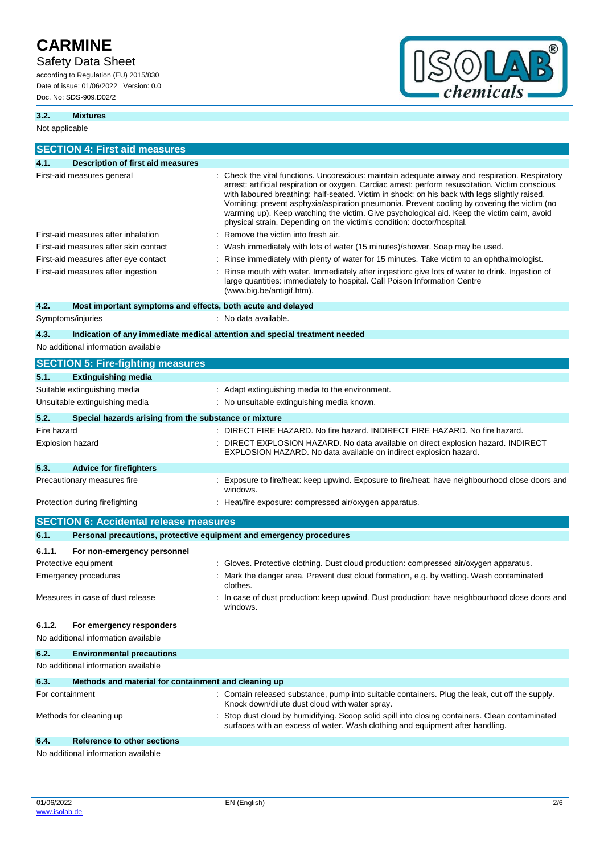# Safety Data Sheet

according to Regulation (EU) 2015/830 Date of issue: 01/06/2022 Version: 0.0 Doc. No: SDS-909.D02/2



## **3.2. Mixtures**

Not applicable

|                         | <b>SECTION 4: First aid measures</b>                                |                                                                                                                                                                                                                                                                                                                                                                                                                                                                                                                                                                              |
|-------------------------|---------------------------------------------------------------------|------------------------------------------------------------------------------------------------------------------------------------------------------------------------------------------------------------------------------------------------------------------------------------------------------------------------------------------------------------------------------------------------------------------------------------------------------------------------------------------------------------------------------------------------------------------------------|
| 4.1.                    | <b>Description of first aid measures</b>                            |                                                                                                                                                                                                                                                                                                                                                                                                                                                                                                                                                                              |
|                         | First-aid measures general                                          | : Check the vital functions. Unconscious: maintain adequate airway and respiration. Respiratory<br>arrest: artificial respiration or oxygen. Cardiac arrest: perform resuscitation. Victim conscious<br>with laboured breathing: half-seated. Victim in shock: on his back with legs slightly raised.<br>Vomiting: prevent asphyxia/aspiration pneumonia. Prevent cooling by covering the victim (no<br>warming up). Keep watching the victim. Give psychological aid. Keep the victim calm, avoid<br>physical strain. Depending on the victim's condition: doctor/hospital. |
|                         | First-aid measures after inhalation                                 | Remove the victim into fresh air.                                                                                                                                                                                                                                                                                                                                                                                                                                                                                                                                            |
|                         | First-aid measures after skin contact                               | : Wash immediately with lots of water (15 minutes)/shower. Soap may be used.                                                                                                                                                                                                                                                                                                                                                                                                                                                                                                 |
|                         | First-aid measures after eye contact                                | Rinse immediately with plenty of water for 15 minutes. Take victim to an ophthalmologist.                                                                                                                                                                                                                                                                                                                                                                                                                                                                                    |
|                         | First-aid measures after ingestion                                  | Rinse mouth with water. Immediately after ingestion: give lots of water to drink. Ingestion of<br>large quantities: immediately to hospital. Call Poison Information Centre<br>(www.big.be/antigif.htm).                                                                                                                                                                                                                                                                                                                                                                     |
| 4.2.                    | Most important symptoms and effects, both acute and delayed         |                                                                                                                                                                                                                                                                                                                                                                                                                                                                                                                                                                              |
| Symptoms/injuries       |                                                                     | : No data available.                                                                                                                                                                                                                                                                                                                                                                                                                                                                                                                                                         |
| 4.3.                    |                                                                     | Indication of any immediate medical attention and special treatment needed                                                                                                                                                                                                                                                                                                                                                                                                                                                                                                   |
|                         | No additional information available                                 |                                                                                                                                                                                                                                                                                                                                                                                                                                                                                                                                                                              |
|                         | <b>SECTION 5: Fire-fighting measures</b>                            |                                                                                                                                                                                                                                                                                                                                                                                                                                                                                                                                                                              |
|                         | <b>Extinguishing media</b>                                          |                                                                                                                                                                                                                                                                                                                                                                                                                                                                                                                                                                              |
| 5.1.                    |                                                                     | : Adapt extinguishing media to the environment.                                                                                                                                                                                                                                                                                                                                                                                                                                                                                                                              |
|                         | Suitable extinguishing media                                        |                                                                                                                                                                                                                                                                                                                                                                                                                                                                                                                                                                              |
|                         | Unsuitable extinguishing media                                      | : No unsuitable extinguishing media known.                                                                                                                                                                                                                                                                                                                                                                                                                                                                                                                                   |
| 5.2.                    | Special hazards arising from the substance or mixture               |                                                                                                                                                                                                                                                                                                                                                                                                                                                                                                                                                                              |
| Fire hazard             |                                                                     | : DIRECT FIRE HAZARD. No fire hazard. INDIRECT FIRE HAZARD. No fire hazard.                                                                                                                                                                                                                                                                                                                                                                                                                                                                                                  |
| <b>Explosion hazard</b> |                                                                     | DIRECT EXPLOSION HAZARD. No data available on direct explosion hazard. INDIRECT<br>EXPLOSION HAZARD. No data available on indirect explosion hazard.                                                                                                                                                                                                                                                                                                                                                                                                                         |
| 5.3.                    | <b>Advice for firefighters</b>                                      |                                                                                                                                                                                                                                                                                                                                                                                                                                                                                                                                                                              |
|                         | Precautionary measures fire                                         | : Exposure to fire/heat: keep upwind. Exposure to fire/heat: have neighbourhood close doors and<br>windows.                                                                                                                                                                                                                                                                                                                                                                                                                                                                  |
|                         | Protection during firefighting                                      | : Heat/fire exposure: compressed air/oxygen apparatus.                                                                                                                                                                                                                                                                                                                                                                                                                                                                                                                       |
|                         | <b>SECTION 6: Accidental release measures</b>                       |                                                                                                                                                                                                                                                                                                                                                                                                                                                                                                                                                                              |
| 6.1.                    | Personal precautions, protective equipment and emergency procedures |                                                                                                                                                                                                                                                                                                                                                                                                                                                                                                                                                                              |
| 6.1.1.                  | For non-emergency personnel                                         |                                                                                                                                                                                                                                                                                                                                                                                                                                                                                                                                                                              |
| Protective equipment    |                                                                     | : Gloves. Protective clothing. Dust cloud production: compressed air/oxygen apparatus.                                                                                                                                                                                                                                                                                                                                                                                                                                                                                       |
|                         | <b>Emergency procedures</b>                                         | : Mark the danger area. Prevent dust cloud formation, e.g. by wetting. Wash contaminated<br>clothes.                                                                                                                                                                                                                                                                                                                                                                                                                                                                         |
|                         | Measures in case of dust release                                    | In case of dust production: keep upwind. Dust production: have neighbourhood close doors and<br>windows.                                                                                                                                                                                                                                                                                                                                                                                                                                                                     |
| 6.1.2.                  | For emergency responders                                            |                                                                                                                                                                                                                                                                                                                                                                                                                                                                                                                                                                              |
|                         | No additional information available                                 |                                                                                                                                                                                                                                                                                                                                                                                                                                                                                                                                                                              |
| 6.2.                    | <b>Environmental precautions</b>                                    |                                                                                                                                                                                                                                                                                                                                                                                                                                                                                                                                                                              |
|                         | No additional information available                                 |                                                                                                                                                                                                                                                                                                                                                                                                                                                                                                                                                                              |
| 6.3.                    | Methods and material for containment and cleaning up                |                                                                                                                                                                                                                                                                                                                                                                                                                                                                                                                                                                              |
| For containment         |                                                                     | : Contain released substance, pump into suitable containers. Plug the leak, cut off the supply.<br>Knock down/dilute dust cloud with water spray.                                                                                                                                                                                                                                                                                                                                                                                                                            |
|                         | Methods for cleaning up                                             | Stop dust cloud by humidifying. Scoop solid spill into closing containers. Clean contaminated<br>surfaces with an excess of water. Wash clothing and equipment after handling.                                                                                                                                                                                                                                                                                                                                                                                               |
| 6.4.                    | Reference to other sections                                         |                                                                                                                                                                                                                                                                                                                                                                                                                                                                                                                                                                              |
|                         | No additional information available                                 |                                                                                                                                                                                                                                                                                                                                                                                                                                                                                                                                                                              |

No additional information available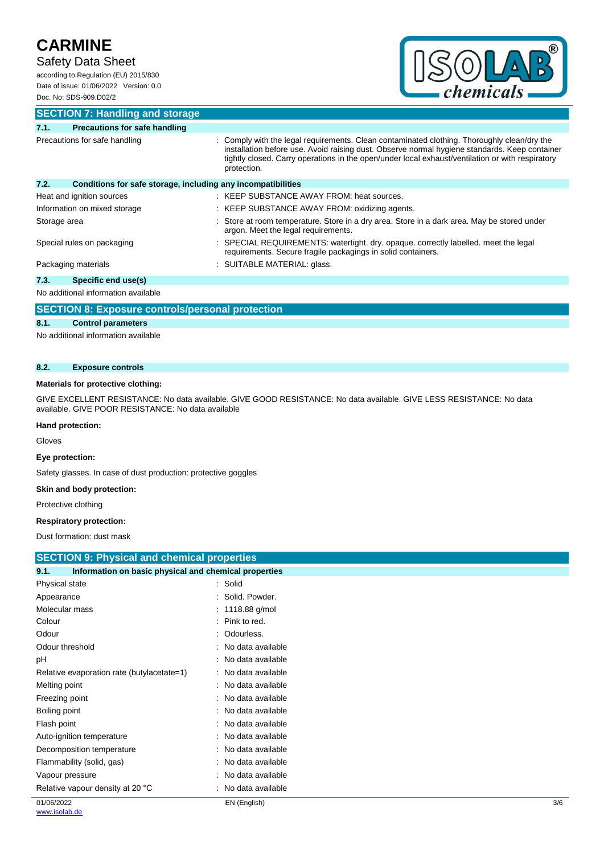# Safety Data Sheet

according to Regulation (EU) 2015/830 Date of issue: 01/06/2022 Version: 0.0 Doc. No: SDS-909.D02/2



# **SECTION 7: Handling and storage**

| 7.1.         | <b>Precautions for safe handling</b>                         |                                                                                                                                                                                                                                                                                                                 |
|--------------|--------------------------------------------------------------|-----------------------------------------------------------------------------------------------------------------------------------------------------------------------------------------------------------------------------------------------------------------------------------------------------------------|
|              | Precautions for safe handling                                | : Comply with the legal requirements. Clean contaminated clothing. Thoroughly clean/dry the<br>installation before use. Avoid raising dust. Observe normal hygiene standards. Keep container<br>tightly closed. Carry operations in the open/under local exhaust/ventilation or with respiratory<br>protection. |
| 7.2.         | Conditions for safe storage, including any incompatibilities |                                                                                                                                                                                                                                                                                                                 |
|              | Heat and ignition sources                                    | : KEEP SUBSTANCE AWAY FROM: heat sources.                                                                                                                                                                                                                                                                       |
|              | Information on mixed storage                                 | : KEEP SUBSTANCE AWAY FROM: oxidizing agents.                                                                                                                                                                                                                                                                   |
| Storage area |                                                              | Store at room temperature. Store in a dry area. Store in a dark area. May be stored under<br>argon. Meet the legal requirements.                                                                                                                                                                                |
|              | Special rules on packaging                                   | : SPECIAL REQUIREMENTS: watertight. dry. opaque. correctly labelled. meet the legal<br>requirements. Secure fragile packagings in solid containers.                                                                                                                                                             |
|              | Packaging materials                                          | : SUITABLE MATERIAL: glass.                                                                                                                                                                                                                                                                                     |
| 7.3.         | Specific end use(s)                                          |                                                                                                                                                                                                                                                                                                                 |
|              |                                                              |                                                                                                                                                                                                                                                                                                                 |

No additional information available

# **SECTION 8: Exposure controls/personal protection**

## **8.1. Control parameters**

No additional information available

### **8.2. Exposure controls**

### **Materials for protective clothing:**

GIVE EXCELLENT RESISTANCE: No data available. GIVE GOOD RESISTANCE: No data available. GIVE LESS RESISTANCE: No data available. GIVE POOR RESISTANCE: No data available

#### **Hand protection:**

Gloves

### **Eye protection:**

Safety glasses. In case of dust production: protective goggles

## **Skin and body protection:**

Protective clothing

## **Respiratory protection:**

Dust formation: dust mask

| <b>SECTION 9: Physical and chemical properties</b>            |                     |     |
|---------------------------------------------------------------|---------------------|-----|
| Information on basic physical and chemical properties<br>9.1. |                     |     |
| Physical state                                                | : Solid             |     |
| Appearance                                                    | Solid. Powder.      |     |
| Molecular mass                                                | : $1118.88$ g/mol   |     |
| Colour                                                        | Pink to red.        |     |
| Odour                                                         | Odourless.          |     |
| Odour threshold                                               | No data available   |     |
| рH                                                            | No data available   |     |
| Relative evaporation rate (butylacetate=1)                    | : No data available |     |
| Melting point                                                 | : No data available |     |
| Freezing point                                                | No data available   |     |
| Boiling point                                                 | No data available   |     |
| Flash point                                                   | No data available   |     |
| Auto-ignition temperature                                     | No data available   |     |
| Decomposition temperature                                     | No data available   |     |
| Flammability (solid, gas)                                     | No data available   |     |
| Vapour pressure                                               | No data available   |     |
| Relative vapour density at 20 °C                              | No data available   |     |
| 01/06/2022                                                    | EN (English)        | 3/6 |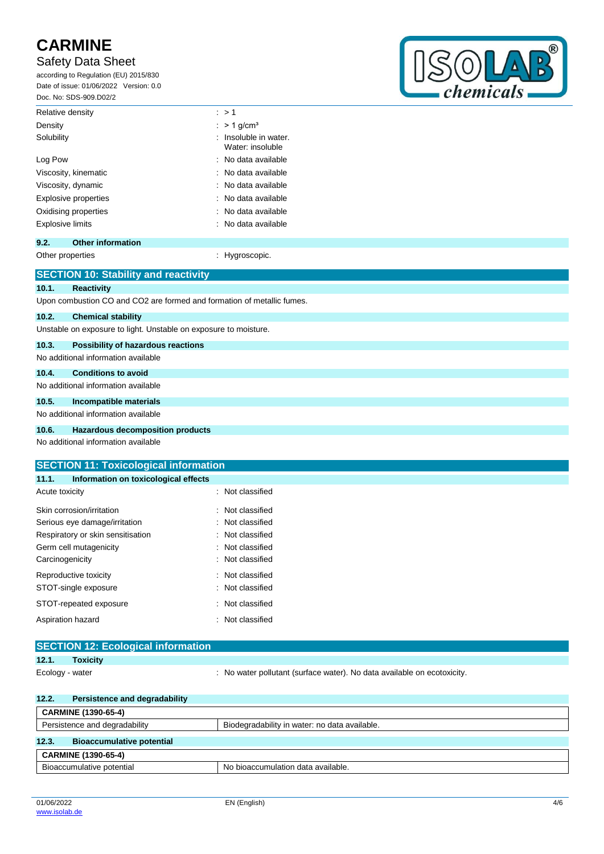# Safety Data Sheet

according to Regulation (EU) 2015/830 Date of issue: 01/06/2022 Version: 0.0 Doc. No: SDS-909.D02/2



| Relative density        | : > 1                                                |
|-------------------------|------------------------------------------------------|
| Density                 | $:$ > 1 g/cm <sup>3</sup>                            |
| Solubility              | $\therefore$ Insoluble in water.<br>Water: insoluble |
| Log Pow                 | $\therefore$ No data available                       |
| Viscosity, kinematic    | : No data available                                  |
| Viscosity, dynamic      | $\therefore$ No data available                       |
| Explosive properties    | : No data available                                  |
| Oxidising properties    | $\therefore$ No data available                       |
| <b>Explosive limits</b> | : No data available                                  |

# **9.2. Other information**

Other properties in the control of the Hygroscopic.

|       | <b>SECTION 10: Stability and reactivity</b>                            |
|-------|------------------------------------------------------------------------|
| 10.1. | <b>Reactivity</b>                                                      |
|       | Upon combustion CO and CO2 are formed and formation of metallic fumes. |
| 10.2. | <b>Chemical stability</b>                                              |
|       | Unstable on exposure to light. Unstable on exposure to moisture.       |
| 10.3. | <b>Possibility of hazardous reactions</b>                              |
|       | No additional information available                                    |
| 10.4. | <b>Conditions to avoid</b>                                             |
|       | No additional information available                                    |
| 10.5. | Incompatible materials                                                 |
|       | No additional information available                                    |
| 10.6. | Hazardous decomposition products                                       |
|       | No additional information available                                    |

additional information available

| <b>SECTION 11: Toxicological information</b><br>Information on toxicological effects |   | Not classified<br>: Not classified<br>: Not classified<br>: Not classified |
|--------------------------------------------------------------------------------------|---|----------------------------------------------------------------------------|
|                                                                                      |   |                                                                            |
|                                                                                      |   |                                                                            |
|                                                                                      |   |                                                                            |
|                                                                                      |   |                                                                            |
|                                                                                      |   |                                                                            |
|                                                                                      |   |                                                                            |
|                                                                                      |   | : Not classified                                                           |
|                                                                                      |   | : Not classified                                                           |
|                                                                                      |   | : Not classified                                                           |
|                                                                                      | ٠ | Not classified                                                             |
|                                                                                      |   | : Not classified                                                           |
|                                                                                      |   | Not classified                                                             |
|                                                                                      |   |                                                                            |

|                 | <b>SECTION 12: Ecological information</b> |                                                                         |
|-----------------|-------------------------------------------|-------------------------------------------------------------------------|
| 12.1.           | <b>Toxicity</b>                           |                                                                         |
| Ecology - water |                                           | : No water pollutant (surface water). No data available on ecotoxicity. |
| 12.2.           | Persistence and degradability             |                                                                         |
|                 | <b>CARMINE (1390-65-4)</b>                |                                                                         |
|                 | Persistence and degradability             | Biodegradability in water: no data available.                           |

# **12.3. Bioaccumulative potential CARMINE (1390-65-4)** Bioaccumulative potential No bioaccumulation data available.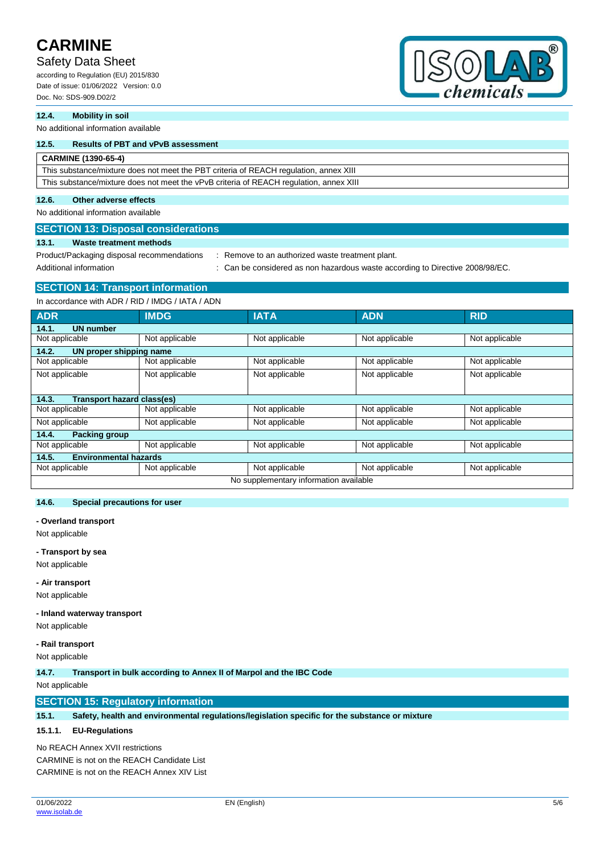# Safety Data Sheet

according to Regulation (EU) 2015/830 Date of issue: 01/06/2022 Version: 0.0 Doc. No: SDS-909.D02/2



## **12.4. Mobility in soil**

No additional information available

# **12.5. Results of PBT and vPvB assessment**

## **CARMINE (1390-65-4)**

This substance/mixture does not meet the PBT criteria of REACH regulation, annex XIII This substance/mixture does not meet the vPvB criteria of REACH regulation, annex XIII

## **12.6. Other adverse effects**

No additional information available

**SECTION 13: Disposal considerations 13.1. Waste treatment methods**

Product/Packaging disposal recommendations : Remove to an authorized waste treatment plant.

Additional information **income in the considered** as non hazardous waste according to Directive 2008/98/EC.

# **SECTION 14: Transport information**

In accordance with ADR / RID / IMDG / IATA / ADN

| <b>ADR</b>                                 | <b>IMDG</b>    | <b>IATA</b>    | <b>ADN</b>     | <b>RID</b>     |  |
|--------------------------------------------|----------------|----------------|----------------|----------------|--|
| <b>UN number</b><br>14.1.                  |                |                |                |                |  |
| Not applicable                             | Not applicable | Not applicable | Not applicable | Not applicable |  |
| 14.2.<br>UN proper shipping name           |                |                |                |                |  |
| Not applicable                             | Not applicable | Not applicable | Not applicable | Not applicable |  |
| Not applicable                             | Not applicable | Not applicable | Not applicable | Not applicable |  |
|                                            |                |                |                |                |  |
| <b>Transport hazard class(es)</b><br>14.3. |                |                |                |                |  |
| Not applicable                             | Not applicable | Not applicable | Not applicable | Not applicable |  |
| Not applicable                             | Not applicable | Not applicable | Not applicable | Not applicable |  |
| <b>Packing group</b><br>14.4.              |                |                |                |                |  |
| Not applicable                             | Not applicable | Not applicable | Not applicable | Not applicable |  |
| <b>Environmental hazards</b><br>14.5.      |                |                |                |                |  |
| Not applicable                             | Not applicable | Not applicable | Not applicable | Not applicable |  |
| No supplementary information available     |                |                |                |                |  |

#### **14.6. Special precautions for user**

#### **- Overland transport**

Not applicable

#### **- Transport by sea**

Not applicable

### **- Air transport**

Not applicable

#### **- Inland waterway transport**

Not applicable

## **- Rail transport**

Not applicable

**14.7. Transport in bulk according to Annex II of Marpol and the IBC Code**

Not applicable

# **SECTION 15: Regulatory information**

**15.1. Safety, health and environmental regulations/legislation specific for the substance or mixture**

## **15.1.1. EU-Regulations**

No REACH Annex XVII restrictions CARMINE is not on the REACH Candidate List CARMINE is not on the REACH Annex XIV List